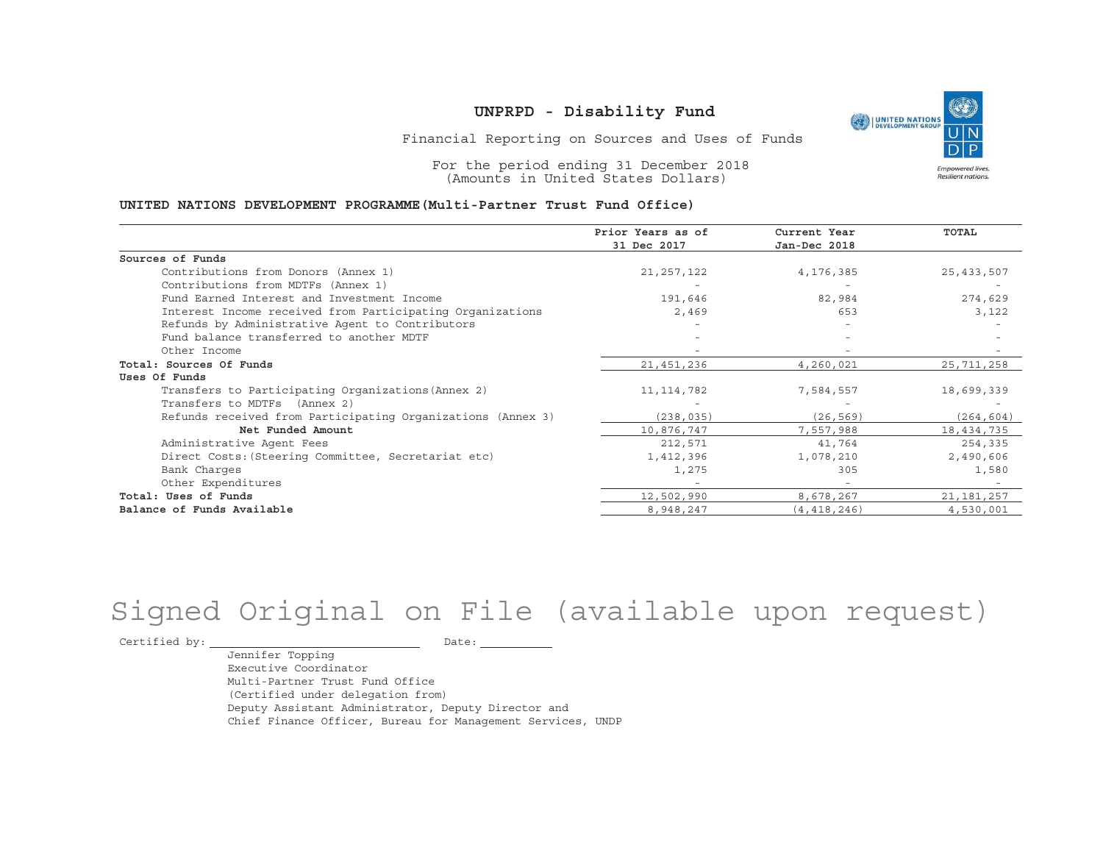

Financial Reporting on Sources and Uses of Funds

For the period ending 31 December 2018 (Amounts in United States Dollars)

#### **UNITED NATIONS DEVELOPMENT PROGRAMME(Multi-Partner Trust Fund Office)**

|                                                             | Prior Years as of<br>31 Dec 2017 | Current Year<br>Jan-Dec 2018 | <b>TOTAL</b> |
|-------------------------------------------------------------|----------------------------------|------------------------------|--------------|
|                                                             |                                  |                              |              |
| Sources of Funds                                            |                                  |                              |              |
| Contributions from Donors (Annex 1)                         | 21, 257, 122                     | 4,176,385                    | 25, 433, 507 |
| Contributions from MDTFs (Annex 1)                          |                                  |                              |              |
| Fund Earned Interest and Investment Income                  | 191,646                          | 82,984                       | 274,629      |
| Interest Income received from Participating Organizations   | 2,469                            | 653                          | 3,122        |
| Refunds by Administrative Agent to Contributors             |                                  |                              |              |
| Fund balance transferred to another MDTF                    |                                  |                              |              |
| Other Income                                                |                                  |                              |              |
| Total: Sources Of Funds                                     | 21, 451, 236                     | 4,260,021                    | 25, 711, 258 |
| Uses Of Funds                                               |                                  |                              |              |
| Transfers to Participating Organizations (Annex 2)          | 11, 114, 782                     | 7,584,557                    | 18,699,339   |
| Transfers to MDTFs (Annex 2)                                |                                  |                              |              |
| Refunds received from Participating Organizations (Annex 3) | (238, 035)                       | (26, 569)                    | (264, 604)   |
| Net Funded Amount                                           | 10,876,747                       | 7,557,988                    | 18,434,735   |
| Administrative Agent Fees                                   | 212,571                          | 41,764                       | 254,335      |
| Direct Costs: (Steering Committee, Secretariat etc)         | 1,412,396                        | 1,078,210                    | 2,490,606    |
| Bank Charges                                                | 1,275                            | 305                          | 1,580        |
| Other Expenditures                                          |                                  |                              |              |
| Total: Uses of Funds                                        | 12,502,990                       | 8,678,267                    | 21, 181, 257 |
| Balance of Funds Available                                  | 8,948,247                        | (4, 418, 246)                | 4,530,001    |

# Signed Original on File (available upon request)

Certified by: Date:

Jennifer Topping Executive CoordinatorMulti-Partner Trust Fund Office(Certified under delegation from) Deputy Assistant Administrator, Deputy Director and Chief Finance Officer, Bureau for Management Services, UNDP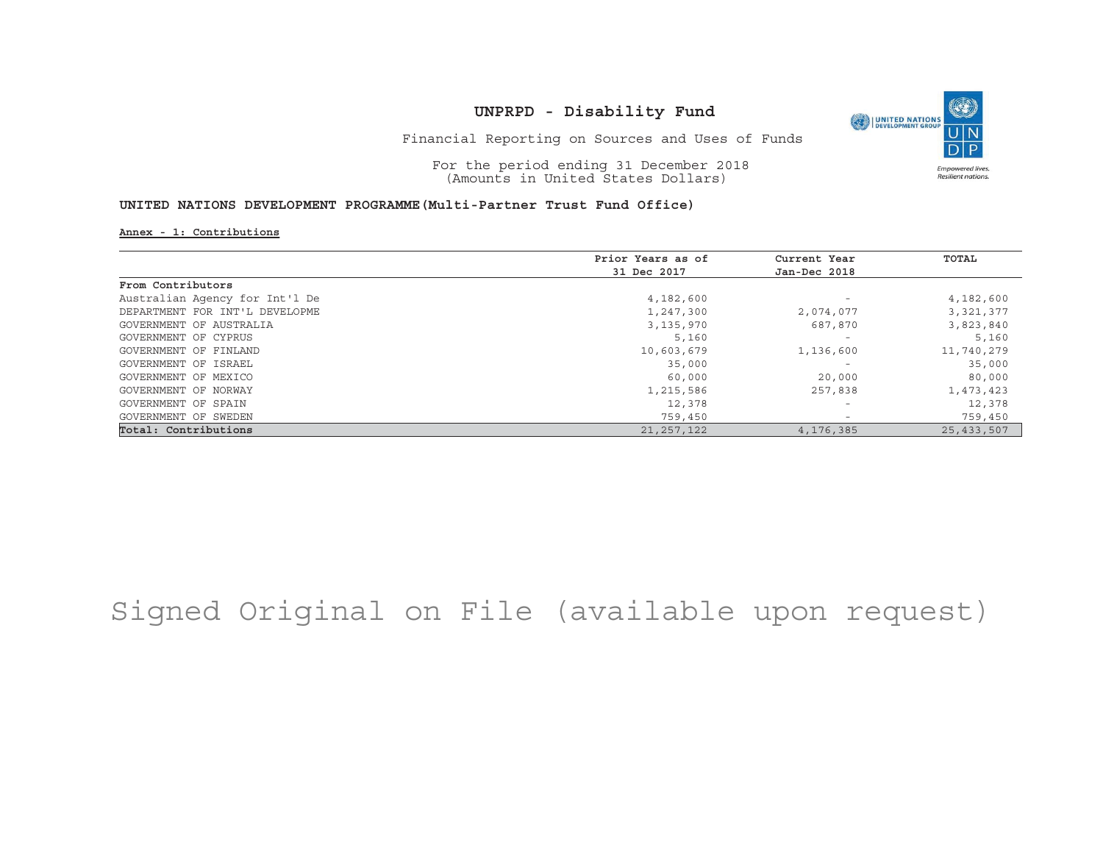

Financial Reporting on Sources and Uses of Funds

For the period ending 31 December 2018 (Amounts in United States Dollars)

#### **UNITED NATIONS DEVELOPMENT PROGRAMME(Multi-Partner Trust Fund Office)**

**Annex - 1: Contributions**

|                                | Prior Years as of | Current Year             | TOTAL        |
|--------------------------------|-------------------|--------------------------|--------------|
|                                | 31 Dec 2017       | Jan-Dec 2018             |              |
| From Contributors              |                   |                          |              |
| Australian Agency for Int'l De | 4,182,600         | $\overline{\phantom{m}}$ | 4,182,600    |
| DEPARTMENT FOR INT'L DEVELOPME | 1,247,300         | 2,074,077                | 3,321,377    |
| GOVERNMENT OF AUSTRALIA        | 3, 135, 970       | 687,870                  | 3,823,840    |
| GOVERNMENT OF CYPRUS           | 5,160             | $\overline{\phantom{m}}$ | 5,160        |
| GOVERNMENT OF FINLAND          | 10,603,679        | 1,136,600                | 11,740,279   |
| GOVERNMENT OF ISRAEL           | 35,000            | $\overline{\phantom{a}}$ | 35,000       |
| GOVERNMENT OF MEXICO           | 60,000            | 20,000                   | 80,000       |
| GOVERNMENT OF NORWAY           | 1,215,586         | 257,838                  | 1,473,423    |
| GOVERNMENT OF SPAIN            | 12,378            | $\overline{\phantom{0}}$ | 12,378       |
| GOVERNMENT OF SWEDEN           | 759,450           | $\overline{\phantom{0}}$ | 759,450      |
| Total: Contributions           | 21, 257, 122      | 4,176,385                | 25, 433, 507 |

Signed Original on File (available upon request)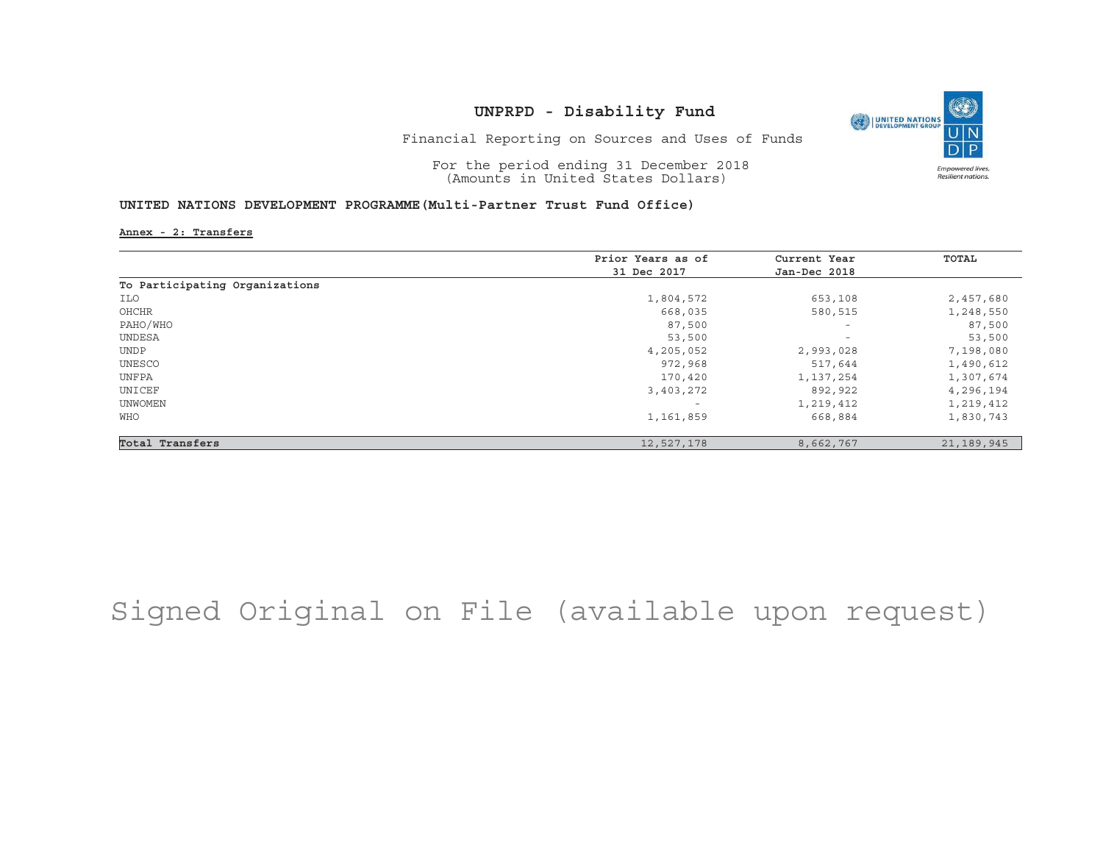

Financial Reporting on Sources and Uses of Funds

For the period ending 31 December 2018 (Amounts in United States Dollars)

#### **UNITED NATIONS DEVELOPMENT PROGRAMME(Multi-Partner Trust Fund Office)**

**Annex - 2: Transfers**

|                                | Prior Years as of | Current Year             | TOTAL      |
|--------------------------------|-------------------|--------------------------|------------|
|                                | 31 Dec 2017       | Jan-Dec 2018             |            |
| To Participating Organizations |                   |                          |            |
| ILO                            | 1,804,572         | 653,108                  | 2,457,680  |
| OHCHR                          | 668,035           | 580,515                  | 1,248,550  |
| PAHO/WHO                       | 87,500            | $\overline{\phantom{a}}$ | 87,500     |
| UNDESA                         | 53,500            | $\overline{\phantom{a}}$ | 53,500     |
| <b>UNDP</b>                    | 4,205,052         | 2,993,028                | 7,198,080  |
| UNESCO                         | 972,968           | 517,644                  | 1,490,612  |
| UNFPA                          | 170,420           | 1,137,254                | 1,307,674  |
| UNICEF                         | 3,403,272         | 892,922                  | 4,296,194  |
| UNWOMEN                        |                   | 1,219,412                | 1,219,412  |
| WHO                            | 1,161,859         | 668,884                  | 1,830,743  |
| Total Transfers                | 12,527,178        | 8,662,767                | 21,189,945 |

## Signed Original on File (available upon request)